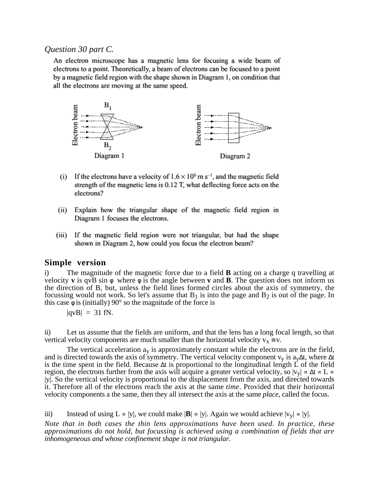## *Question 30 part C.*

An electron microscope has a magnetic lens for focusing a wide beam of electrons to a point. Theoretically, a beam of electrons can be focused to a point by a magnetic field region with the shape shown in Diagram 1, on condition that all the electrons are moving at the same speed.



- (i) If the electrons have a velocity of  $1.6 \times 10^6$  m s<sup>-1</sup>, and the magnetic field strength of the magnetic lens is 0.12 T, what deflecting force acts on the electrons?
- (ii) Explain how the triangular shape of the magnetic field region in Diagram 1 focuses the electrons.
- $(iii)$ If the magnetic field region were not triangular, but had the shape shown in Diagram 2, how could you focus the electron beam?

## **Simple version**

i) The magnitude of the magnetic force due to a field **B** acting on a charge q travelling at velocity **v** is qvB sin  $\phi$  where  $\phi$  is the angle between **v** and **B**. The question does not inform us the direction of B, but, unless the field lines formed circles about the axis of symmetry, the focussing would not work. So let's assume that  $B_1$  is into the page and  $B_2$  is out of the page. In this case  $\phi$  is (initially) 90° so the magnitude of the force is

$$
|{\rm qvB}| = 31 \text{ fN}.
$$

ii) Let us assume that the fields are uniform, and that the lens has a long focal length, so that vertical velocity components are much smaller than the horizontal velocity  $v_x \approx v$ .

The vertical acceleration  $a<sub>y</sub>$  is approximately constant while the electrons are in the field, and is directed towards the axis of symmetry. The vertical velocity component v<sub>v</sub> is a<sub>v</sub>∆t, where ∆t is the time spent in the field. Because ∆t is proportional to the longitudinal length L of the field region, the electrons further from the axis will acquire a greater vertical velocity, so  $|v_v| \propto \Delta t \propto L \propto$ |y|. So the vertical velocity is proportional to the displacement from the axis, and directed towards it. Therefore all of the electrons reach the axis at the same *time*. Provided that their horizontal velocity components a the same, then they all intersect the axis at the same *place*, called the focus.

iii) Instead of using  $L \propto |y|$ , we could make  $|\mathbf{B}| \propto |y|$ . Again we would achieve  $|v_y| \propto |y|$ .

*Note that in both cases the thin lens approximations have been used. In practice, these approximations do not hold, but focussing is achieved using a combination of fields that are inhomogeneous and whose confinement shape is not triangular.*